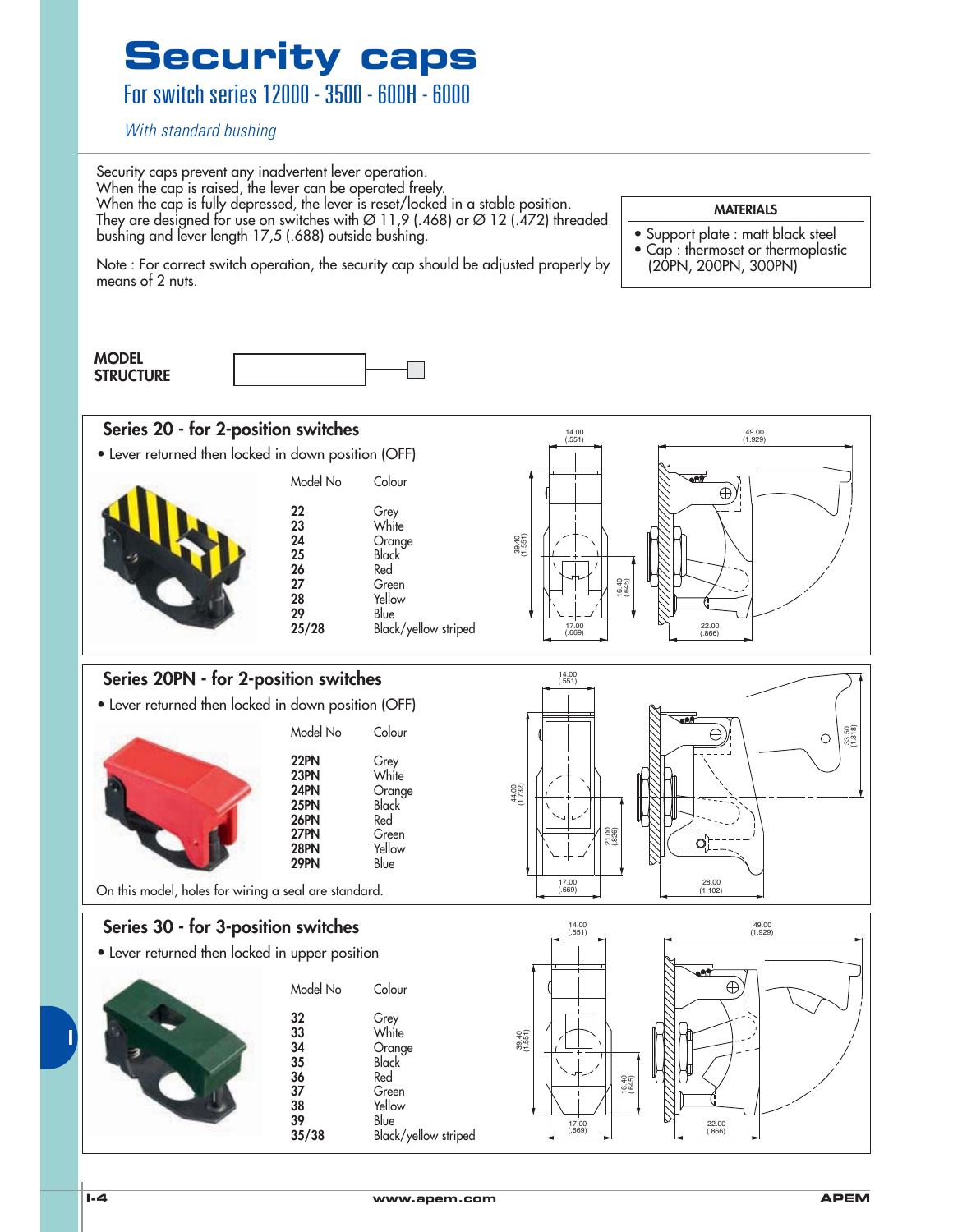For switch series 12000 - 3500 - 600H - 6000

With standard bushing

Security caps prevent any inadvertent lever operation. When the cap is raised, the lever can be operated freely. When the cap is fully depressed, the lever is reset/locked in a stable position. They are designed for use on switches with  $\varnothing$  11,9 (.468) or  $\varnothing$  12 (.472) threaded bushing and lever length 17,5 (.688) outside bushing.

Note : For correct switch operation, the security cap should be adjusted properly by

#### **MATERIALS**

- Support plate : matt black steel
- Cap : thermoset or thermoplastic (20PN, 200PN, 300PN)

means of 2 nuts.





**Series 30 - for 3-position switches** • Lever returned then locked in upper position Model No Colour 32 Grey<br>33 White<br>34 Oran White 34 Orange<br>35 Black Black

On this model, holes for wiring a seal are standard.

36 Red<br>37 Gree 37 Green<br>38 Yellow 38 Yellow<br>39 Blue **39** Blue<br>**35/38** Black

**1/ 1/ 25PN**<br>**1/26PN** Red

**17PN** Green<br>**18PN** Yellow

Yellow<br>Blue

**26PN**<br>27PN

**29PN** 

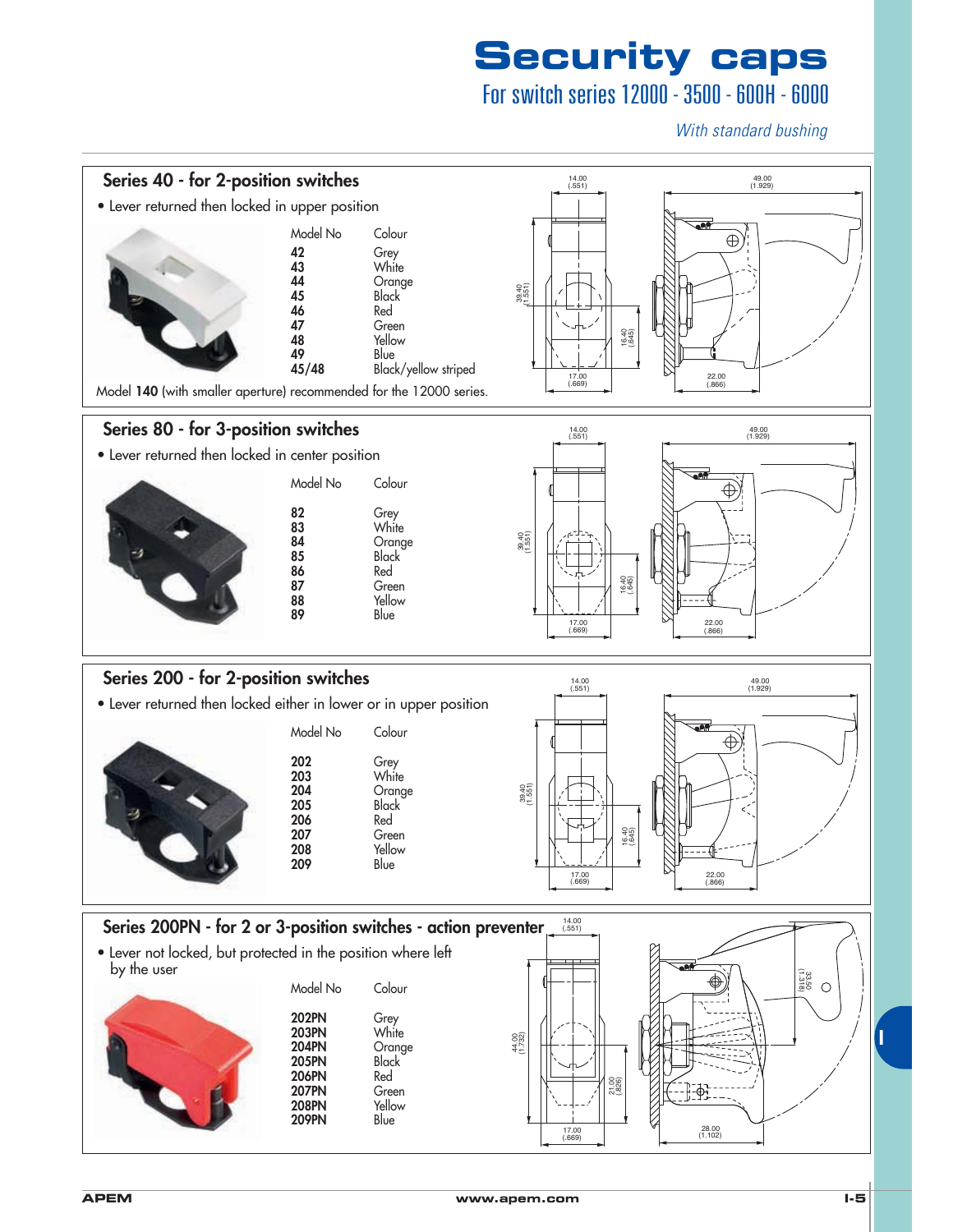### For switch series 12000 - 3500 - 600H - 6000

With standard bushing

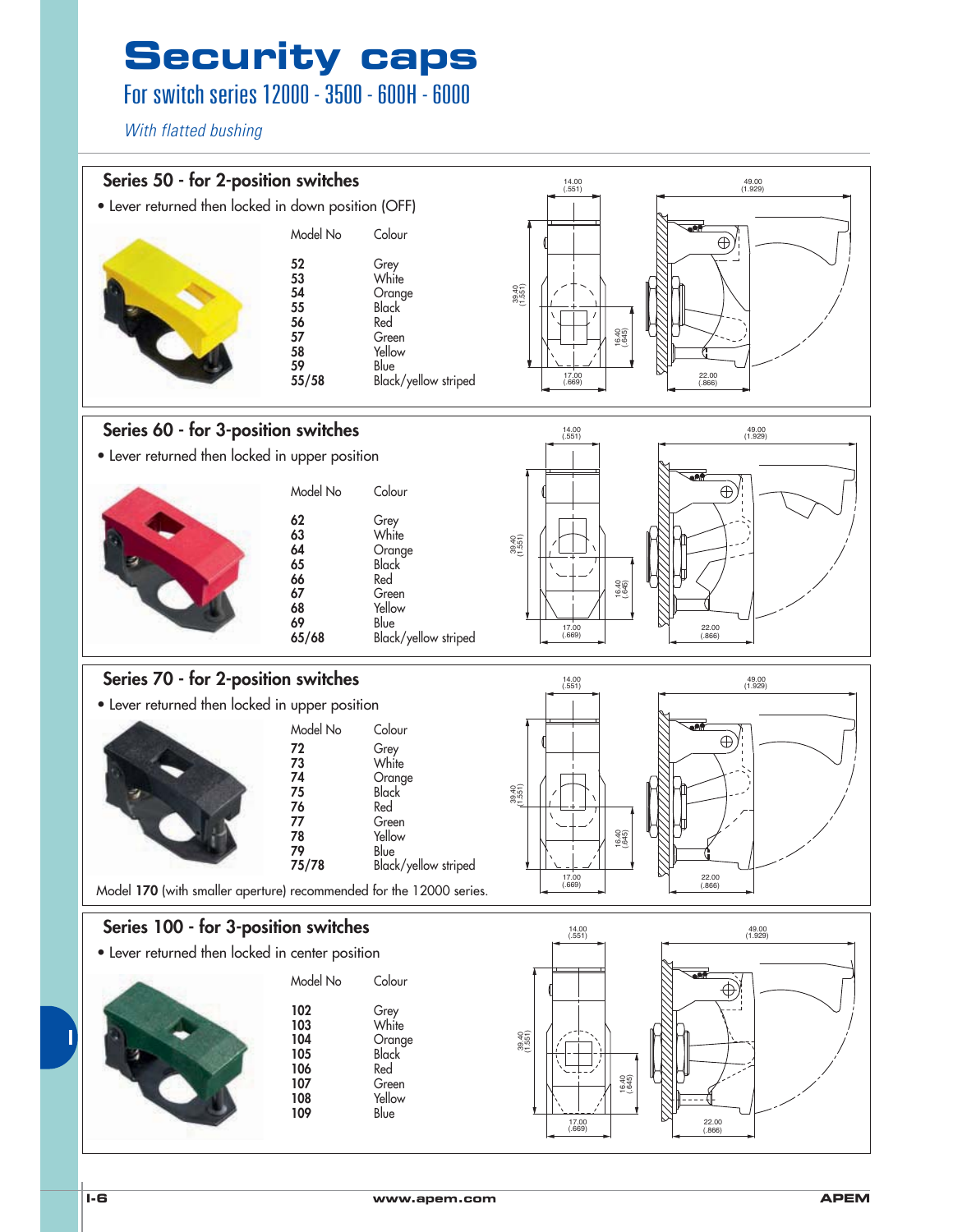## For switch series 12000 - 3500 - 600H - 6000

With flatted bushing

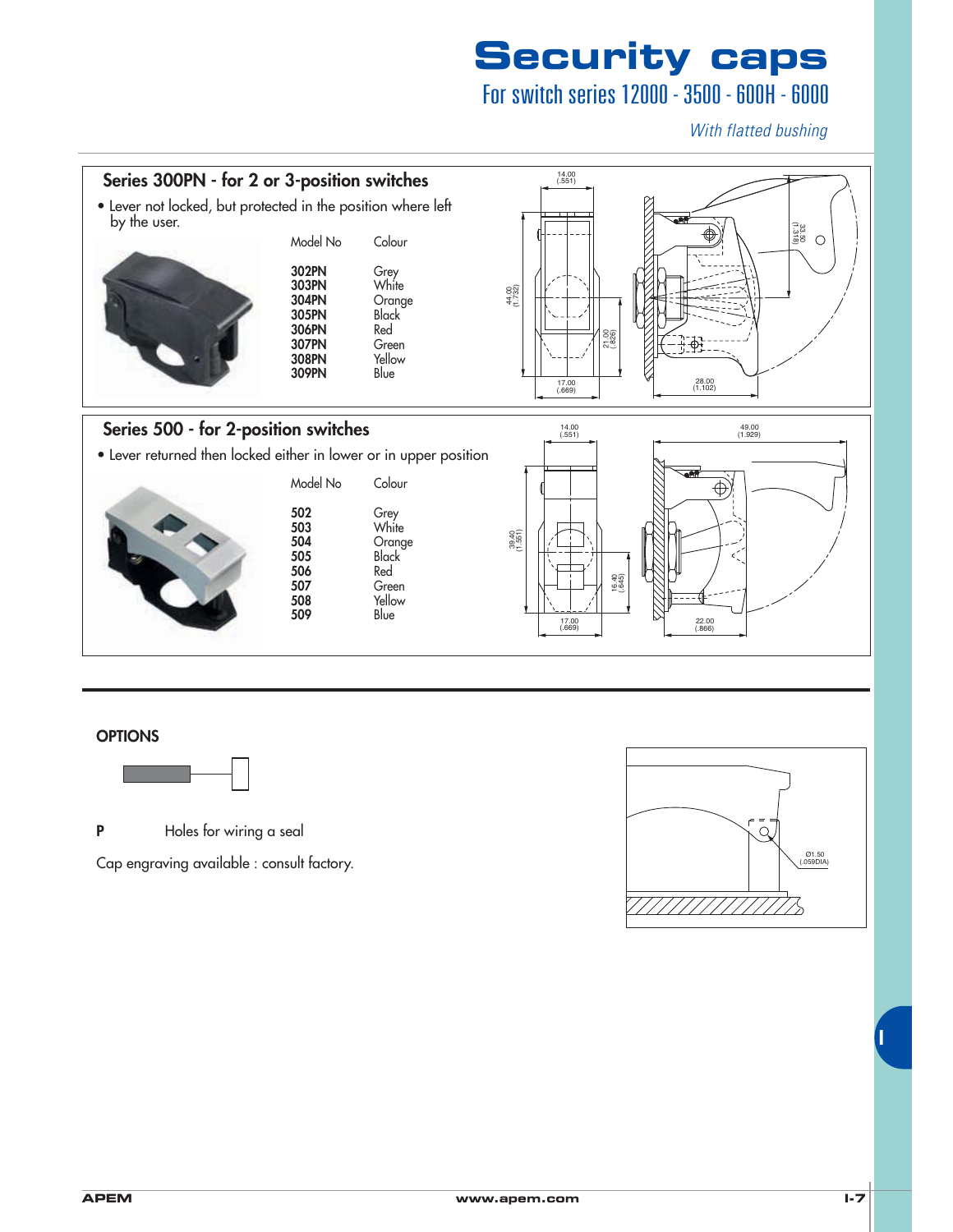## For switch series 12000 - 3500 - 600H - 6000

With flatted bushing



#### **OPTIONS**



**P** Holes for wiring a seal

Cap engraving available : consult factory.

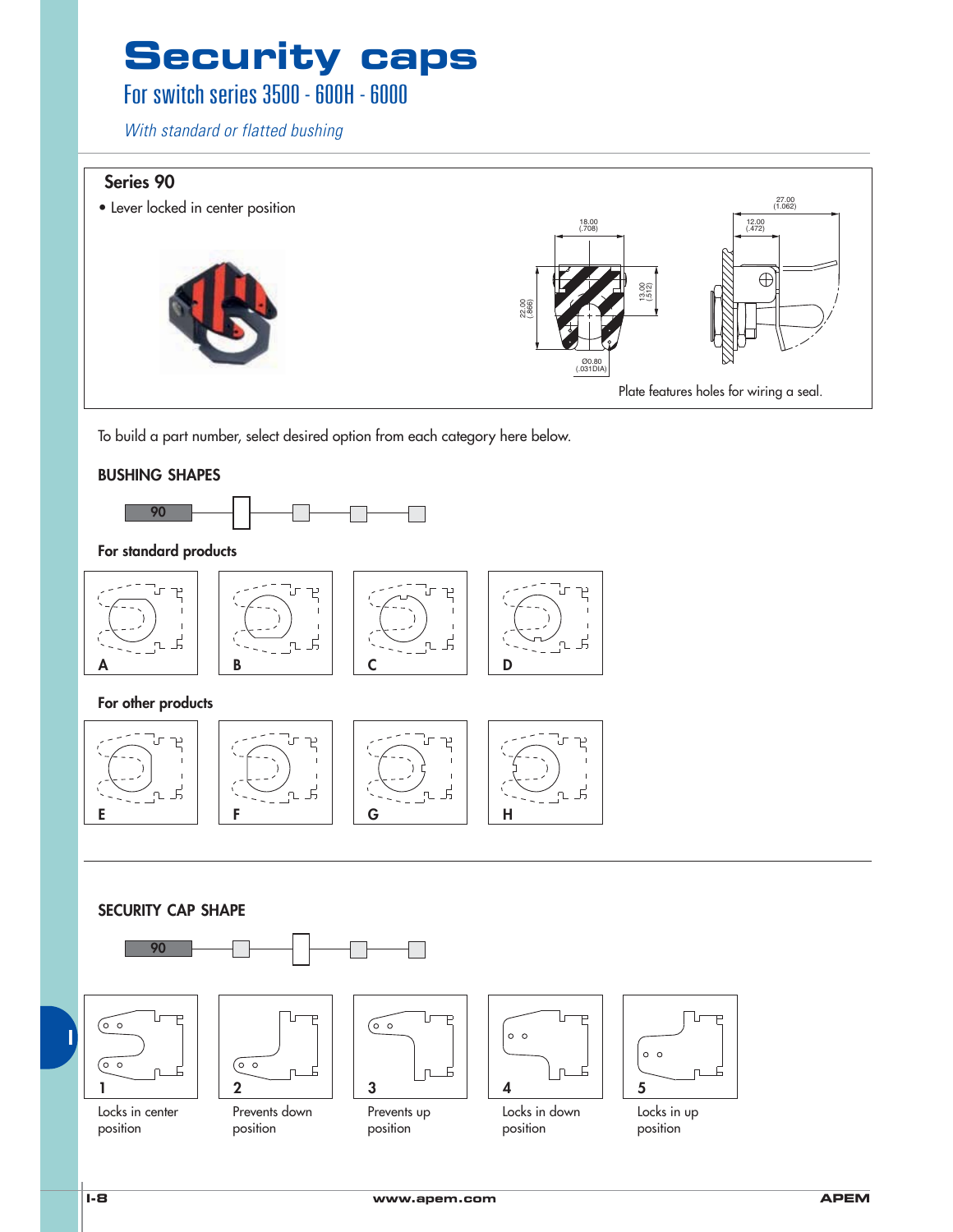## For switch series  $3500 - 600H - 6000$

With standard or flatted bushing

#### Series 90



To build a part number, select desired option from each category here below.

#### **BUSHING SHAPES**



#### For standard products



For other products



#### **SECURITY CAP SHAPE**



position



position